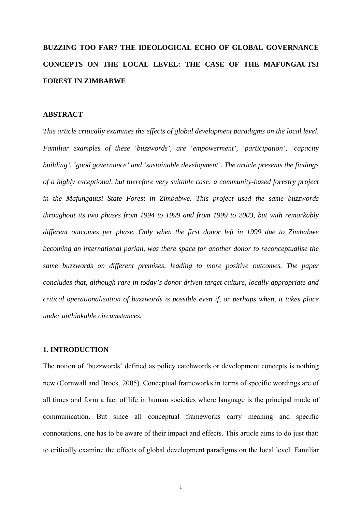# **BUZZING TOO FAR? THE IDEOLOGICAL ECHO OF GLOBAL GOVERNANCE CONCEPTS ON THE LOCAL LEVEL: THE CASE OF THE MAFUNGAUTSI FOREST IN ZIMBABWE**

### **ABSTRACT**

*This article critically examines the effects of global development paradigms on the local level. Familiar examples of these 'buzzwords', are 'empowerment', 'participation', 'capacity building', 'good governance' and 'sustainable development'. The article presents the findings of a highly exceptional, but therefore very suitable case: a community-based forestry project in the Mafungautsi State Forest in Zimbabwe. This project used the same buzzwords throughout its two phases from 1994 to 1999 and from 1999 to 2003, but with remarkably different outcomes per phase. Only when the first donor left in 1999 due to Zimbabwe becoming an international pariah, was there space for another donor to reconceptualise the same buzzwords on different premises, leading to more positive outcomes. The paper concludes that, although rare in today's donor driven target culture, locally appropriate and critical operationalisation of buzzwords is possible even if, or perhaps when, it takes place under unthinkable circumstances.* 

### **1. INTRODUCTION**

The notion of 'buzzwords' defined as policy catchwords or development concepts is nothing new (Cornwall and Brock, 2005). Conceptual frameworks in terms of specific wordings are of all times and form a fact of life in human societies where language is the principal mode of communication. But since all conceptual frameworks carry meaning and specific connotations, one has to be aware of their impact and effects. This article aims to do just that: to critically examine the effects of global development paradigms on the local level. Familiar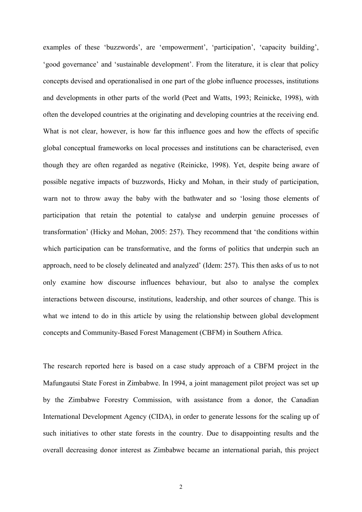examples of these 'buzzwords', are 'empowerment', 'participation', 'capacity building', 'good governance' and 'sustainable development'. From the literature, it is clear that policy concepts devised and operationalised in one part of the globe influence processes, institutions and developments in other parts of the world (Peet and Watts, 1993; Reinicke, 1998), with often the developed countries at the originating and developing countries at the receiving end. What is not clear, however, is how far this influence goes and how the effects of specific global conceptual frameworks on local processes and institutions can be characterised, even though they are often regarded as negative (Reinicke, 1998). Yet, despite being aware of possible negative impacts of buzzwords, Hicky and Mohan, in their study of participation, warn not to throw away the baby with the bathwater and so 'losing those elements of participation that retain the potential to catalyse and underpin genuine processes of transformation' (Hicky and Mohan, 2005: 257). They recommend that 'the conditions within which participation can be transformative, and the forms of politics that underpin such an approach, need to be closely delineated and analyzed' (Idem: 257). This then asks of us to not only examine how discourse influences behaviour, but also to analyse the complex interactions between discourse, institutions, leadership, and other sources of change. This is what we intend to do in this article by using the relationship between global development concepts and Community-Based Forest Management (CBFM) in Southern Africa.

The research reported here is based on a case study approach of a CBFM project in the Mafungautsi State Forest in Zimbabwe. In 1994, a joint management pilot project was set up by the Zimbabwe Forestry Commission, with assistance from a donor, the Canadian International Development Agency (CIDA), in order to generate lessons for the scaling up of such initiatives to other state forests in the country. Due to disappointing results and the overall decreasing donor interest as Zimbabwe became an international pariah, this project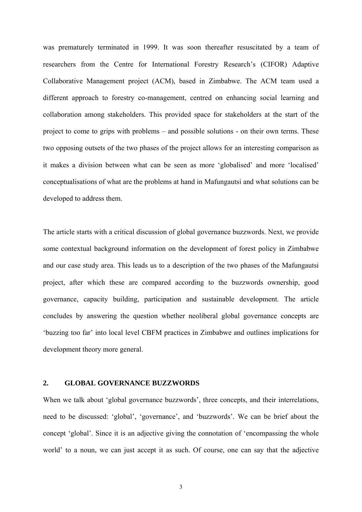was prematurely terminated in 1999. It was soon thereafter resuscitated by a team of researchers from the Centre for International Forestry Research's (CIFOR) Adaptive Collaborative Management project (ACM), based in Zimbabwe. The ACM team used a different approach to forestry co-management, centred on enhancing social learning and collaboration among stakeholders. This provided space for stakeholders at the start of the project to come to grips with problems – and possible solutions - on their own terms. These two opposing outsets of the two phases of the project allows for an interesting comparison as it makes a division between what can be seen as more 'globalised' and more 'localised' conceptualisations of what are the problems at hand in Mafungautsi and what solutions can be developed to address them.

The article starts with a critical discussion of global governance buzzwords. Next, we provide some contextual background information on the development of forest policy in Zimbabwe and our case study area. This leads us to a description of the two phases of the Mafungautsi project, after which these are compared according to the buzzwords ownership, good governance, capacity building, participation and sustainable development. The article concludes by answering the question whether neoliberal global governance concepts are 'buzzing too far' into local level CBFM practices in Zimbabwe and outlines implications for development theory more general.

# **2. GLOBAL GOVERNANCE BUZZWORDS**

When we talk about 'global governance buzzwords', three concepts, and their interrelations, need to be discussed: 'global', 'governance', and 'buzzwords'. We can be brief about the concept 'global'. Since it is an adjective giving the connotation of 'encompassing the whole world' to a noun, we can just accept it as such. Of course, one can say that the adjective

3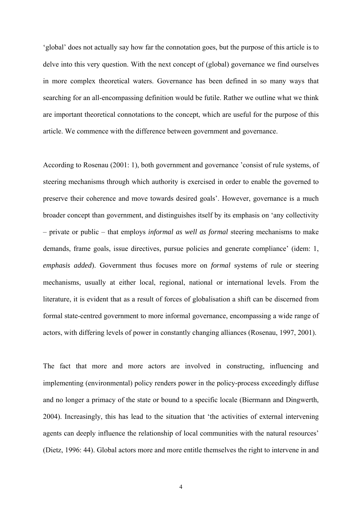'global' does not actually say how far the connotation goes, but the purpose of this article is to delve into this very question. With the next concept of (global) governance we find ourselves in more complex theoretical waters. Governance has been defined in so many ways that searching for an all-encompassing definition would be futile. Rather we outline what we think are important theoretical connotations to the concept, which are useful for the purpose of this article. We commence with the difference between government and governance.

According to Rosenau (2001: 1), both government and governance 'consist of rule systems, of steering mechanisms through which authority is exercised in order to enable the governed to preserve their coherence and move towards desired goals'. However, governance is a much broader concept than government, and distinguishes itself by its emphasis on 'any collectivity – private or public – that employs *informal as well as formal* steering mechanisms to make demands, frame goals, issue directives, pursue policies and generate compliance' (idem: 1, *emphasis added*). Government thus focuses more on *formal* systems of rule or steering mechanisms, usually at either local, regional, national or international levels. From the literature, it is evident that as a result of forces of globalisation a shift can be discerned from formal state-centred government to more informal governance, encompassing a wide range of actors, with differing levels of power in constantly changing alliances (Rosenau, 1997, 2001).

The fact that more and more actors are involved in constructing, influencing and implementing (environmental) policy renders power in the policy-process exceedingly diffuse and no longer a primacy of the state or bound to a specific locale (Biermann and Dingwerth, 2004). Increasingly, this has lead to the situation that 'the activities of external intervening agents can deeply influence the relationship of local communities with the natural resources' (Dietz, 1996: 44). Global actors more and more entitle themselves the right to intervene in and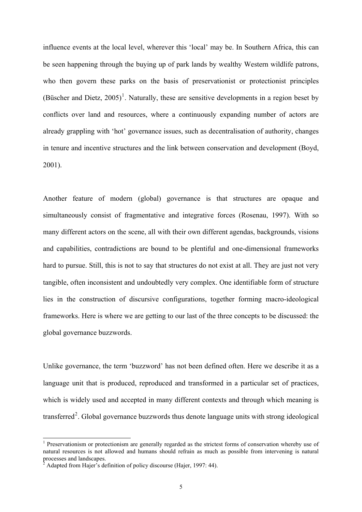influence events at the local level, wherever this 'local' may be. In Southern Africa, this can be seen happening through the buying up of park lands by wealthy Western wildlife patrons, who then govern these parks on the basis of preservationist or protectionist principles (Büscher and Dietz,  $2005$ )<sup>[1](#page-4-0)</sup>. Naturally, these are sensitive developments in a region beset by conflicts over land and resources, where a continuously expanding number of actors are already grappling with 'hot' governance issues, such as decentralisation of authority, changes in tenure and incentive structures and the link between conservation and development (Boyd, 2001).

Another feature of modern (global) governance is that structures are opaque and simultaneously consist of fragmentative and integrative forces (Rosenau, 1997). With so many different actors on the scene, all with their own different agendas, backgrounds, visions and capabilities, contradictions are bound to be plentiful and one-dimensional frameworks hard to pursue. Still, this is not to say that structures do not exist at all. They are just not very tangible, often inconsistent and undoubtedly very complex. One identifiable form of structure lies in the construction of discursive configurations, together forming macro-ideological frameworks. Here is where we are getting to our last of the three concepts to be discussed: the global governance buzzwords.

Unlike governance, the term 'buzzword' has not been defined often. Here we describe it as a language unit that is produced, reproduced and transformed in a particular set of practices, which is widely used and accepted in many different contexts and through which meaning is transferred<sup>[2](#page-4-1)</sup>. Global governance buzzwords thus denote language units with strong ideological

-

<span id="page-4-0"></span><sup>&</sup>lt;sup>1</sup> Preservationism or protectionism are generally regarded as the strictest forms of conservation whereby use of natural resources is not allowed and humans should refrain as much as possible from intervening is natural processes and landscapes.

<span id="page-4-1"></span><sup>&</sup>lt;sup>2</sup> Adapted from Hajer's definition of policy discourse (Hajer, 1997: 44).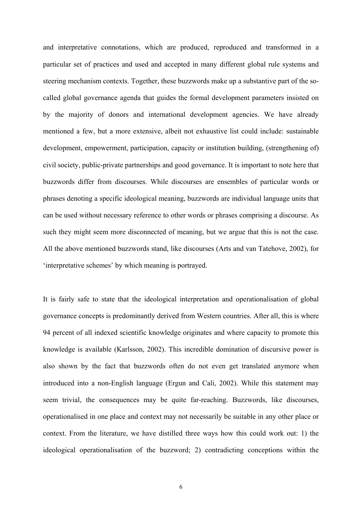and interpretative connotations, which are produced, reproduced and transformed in a particular set of practices and used and accepted in many different global rule systems and steering mechanism contexts. Together, these buzzwords make up a substantive part of the socalled global governance agenda that guides the formal development parameters insisted on by the majority of donors and international development agencies. We have already mentioned a few, but a more extensive, albeit not exhaustive list could include: sustainable development, empowerment, participation, capacity or institution building, (strengthening of) civil society, public-private partnerships and good governance. It is important to note here that buzzwords differ from discourses. While discourses are ensembles of particular words or phrases denoting a specific ideological meaning, buzzwords are individual language units that can be used without necessary reference to other words or phrases comprising a discourse. As such they might seem more disconnected of meaning, but we argue that this is not the case. All the above mentioned buzzwords stand, like discourses (Arts and van Tatehove, 2002), for 'interpretative schemes' by which meaning is portrayed.

It is fairly safe to state that the ideological interpretation and operationalisation of global governance concepts is predominantly derived from Western countries. After all, this is where 94 percent of all indexed scientific knowledge originates and where capacity to promote this knowledge is available (Karlsson, 2002). This incredible domination of discursive power is also shown by the fact that buzzwords often do not even get translated anymore when introduced into a non-English language (Ergun and Cali, 2002). While this statement may seem trivial, the consequences may be quite far-reaching. Buzzwords, like discourses, operationalised in one place and context may not necessarily be suitable in any other place or context. From the literature, we have distilled three ways how this could work out: 1) the ideological operationalisation of the buzzword; 2) contradicting conceptions within the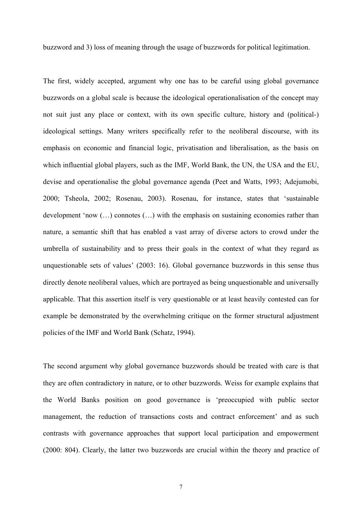buzzword and 3) loss of meaning through the usage of buzzwords for political legitimation.

The first, widely accepted, argument why one has to be careful using global governance buzzwords on a global scale is because the ideological operationalisation of the concept may not suit just any place or context, with its own specific culture, history and (political-) ideological settings. Many writers specifically refer to the neoliberal discourse, with its emphasis on economic and financial logic, privatisation and liberalisation, as the basis on which influential global players, such as the IMF, World Bank, the UN, the USA and the EU, devise and operationalise the global governance agenda (Peet and Watts, 1993; Adejumobi, 2000; Tsheola, 2002; Rosenau, 2003). Rosenau, for instance, states that 'sustainable development 'now (…) connotes (…) with the emphasis on sustaining economies rather than nature, a semantic shift that has enabled a vast array of diverse actors to crowd under the umbrella of sustainability and to press their goals in the context of what they regard as unquestionable sets of values' (2003: 16). Global governance buzzwords in this sense thus directly denote neoliberal values, which are portrayed as being unquestionable and universally applicable. That this assertion itself is very questionable or at least heavily contested can for example be demonstrated by the overwhelming critique on the former structural adjustment policies of the IMF and World Bank (Schatz, 1994).

The second argument why global governance buzzwords should be treated with care is that they are often contradictory in nature, or to other buzzwords. Weiss for example explains that the World Banks position on good governance is 'preoccupied with public sector management, the reduction of transactions costs and contract enforcement' and as such contrasts with governance approaches that support local participation and empowerment (2000: 804). Clearly, the latter two buzzwords are crucial within the theory and practice of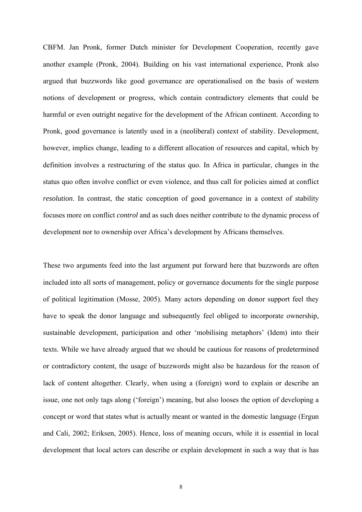CBFM. Jan Pronk, former Dutch minister for Development Cooperation, recently gave another example (Pronk, 2004). Building on his vast international experience, Pronk also argued that buzzwords like good governance are operationalised on the basis of western notions of development or progress, which contain contradictory elements that could be harmful or even outright negative for the development of the African continent. According to Pronk, good governance is latently used in a (neoliberal) context of stability. Development, however, implies change, leading to a different allocation of resources and capital, which by definition involves a restructuring of the status quo. In Africa in particular, changes in the status quo often involve conflict or even violence, and thus call for policies aimed at conflict *resolution*. In contrast, the static conception of good governance in a context of stability focuses more on conflict *control* and as such does neither contribute to the dynamic process of development nor to ownership over Africa's development by Africans themselves.

These two arguments feed into the last argument put forward here that buzzwords are often included into all sorts of management, policy or governance documents for the single purpose of political legitimation (Mosse, 2005). Many actors depending on donor support feel they have to speak the donor language and subsequently feel obliged to incorporate ownership, sustainable development, participation and other 'mobilising metaphors' (Idem) into their texts. While we have already argued that we should be cautious for reasons of predetermined or contradictory content, the usage of buzzwords might also be hazardous for the reason of lack of content altogether. Clearly, when using a (foreign) word to explain or describe an issue, one not only tags along ('foreign') meaning, but also looses the option of developing a concept or word that states what is actually meant or wanted in the domestic language (Ergun and Cali, 2002; Eriksen, 2005). Hence, loss of meaning occurs, while it is essential in local development that local actors can describe or explain development in such a way that is has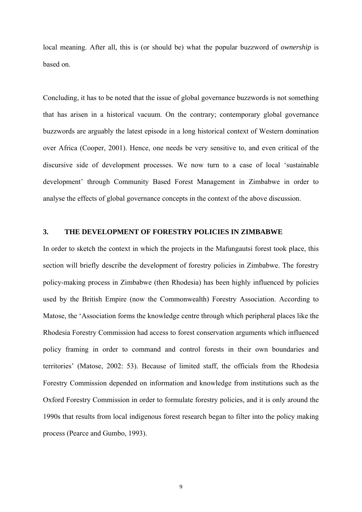local meaning. After all, this is (or should be) what the popular buzzword of *ownership* is based on.

Concluding, it has to be noted that the issue of global governance buzzwords is not something that has arisen in a historical vacuum. On the contrary; contemporary global governance buzzwords are arguably the latest episode in a long historical context of Western domination over Africa (Cooper, 2001). Hence, one needs be very sensitive to, and even critical of the discursive side of development processes. We now turn to a case of local 'sustainable development' through Community Based Forest Management in Zimbabwe in order to analyse the effects of global governance concepts in the context of the above discussion.

# **3. THE DEVELOPMENT OF FORESTRY POLICIES IN ZIMBABWE**

In order to sketch the context in which the projects in the Mafungautsi forest took place, this section will briefly describe the development of forestry policies in Zimbabwe. The forestry policy-making process in Zimbabwe (then Rhodesia) has been highly influenced by policies used by the British Empire (now the Commonwealth) Forestry Association. According to Matose, the 'Association forms the knowledge centre through which peripheral places like the Rhodesia Forestry Commission had access to forest conservation arguments which influenced policy framing in order to command and control forests in their own boundaries and territories' (Matose, 2002: 53). Because of limited staff, the officials from the Rhodesia Forestry Commission depended on information and knowledge from institutions such as the Oxford Forestry Commission in order to formulate forestry policies, and it is only around the 1990s that results from local indigenous forest research began to filter into the policy making process (Pearce and Gumbo, 1993).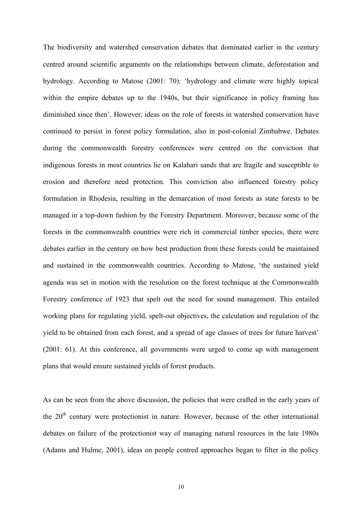The biodiversity and watershed conservation debates that dominated earlier in the century centred around scientific arguments on the relationships between climate, deforestation and hydrology. According to Matose (2001: 70): 'hydrology and climate were highly topical within the empire debates up to the 1940s, but their significance in policy framing has diminished since then'. However, ideas on the role of forests in watershed conservation have continued to persist in forest policy formulation, also in post-colonial Zimbabwe. Debates during the commonwealth forestry conferences were centred on the conviction that indigenous forests in most countries lie on Kalahari sands that are fragile and susceptible to erosion and therefore need protection. This conviction also influenced forestry policy formulation in Rhodesia, resulting in the demarcation of most forests as state forests to be managed in a top-down fashion by the Forestry Department. Moreover, because some of the forests in the commonwealth countries were rich in commercial timber species, there were debates earlier in the century on how best production from these forests could be maintained and sustained in the commonwealth countries. According to Matose, 'the sustained yield agenda was set in motion with the resolution on the forest technique at the Commonwealth Forestry conference of 1923 that spelt out the need for sound management. This entailed working plans for regulating yield, spelt-out objectives, the calculation and regulation of the yield to be obtained from each forest, and a spread of age classes of trees for future harvest' (2001: 61). At this conference, all governments were urged to come up with management plans that would ensure sustained yields of forest products.

As can be seen from the above discussion, the policies that were crafted in the early years of the  $20<sup>th</sup>$  century were protectionist in nature. However, because of the other international debates on failure of the protectionist way of managing natural resources in the late 1980s (Adams and Hulme, 2001), ideas on people centred approaches began to filter in the policy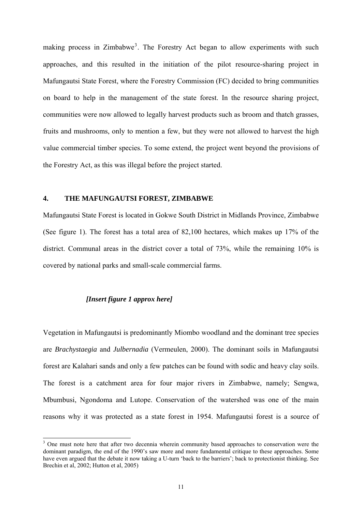making process in Zimbabwe<sup>[3](#page-10-0)</sup>. The Forestry Act began to allow experiments with such approaches, and this resulted in the initiation of the pilot resource-sharing project in Mafungautsi State Forest, where the Forestry Commission (FC) decided to bring communities on board to help in the management of the state forest. In the resource sharing project, communities were now allowed to legally harvest products such as broom and thatch grasses, fruits and mushrooms, only to mention a few, but they were not allowed to harvest the high value commercial timber species. To some extend, the project went beyond the provisions of the Forestry Act, as this was illegal before the project started.

### **4. THE MAFUNGAUTSI FOREST, ZIMBABWE**

Mafungautsi State Forest is located in Gokwe South District in Midlands Province, Zimbabwe (See figure 1). The forest has a total area of 82,100 hectares, which makes up 17% of the district. Communal areas in the district cover a total of 73%, while the remaining 10% is covered by national parks and small-scale commercial farms.

## *[Insert figure 1 approx here]*

Vegetation in Mafungautsi is predominantly Miombo woodland and the dominant tree species are *Brachystaegia* and *Julbernadia* (Vermeulen, 2000). The dominant soils in Mafungautsi forest are Kalahari sands and only a few patches can be found with sodic and heavy clay soils. The forest is a catchment area for four major rivers in Zimbabwe, namely; Sengwa, Mbumbusi, Ngondoma and Lutope. Conservation of the watershed was one of the main reasons why it was protected as a state forest in 1954. Mafungautsi forest is a source of

<span id="page-10-0"></span><sup>&</sup>lt;sup>3</sup> One must note here that after two decennia wherein community based approaches to conservation were the dominant paradigm, the end of the 1990's saw more and more fundamental critique to these approaches. Some have even argued that the debate it now taking a U-turn 'back to the barriers'; back to protectionist thinking. See Brechin et al, 2002; Hutton et al, 2005)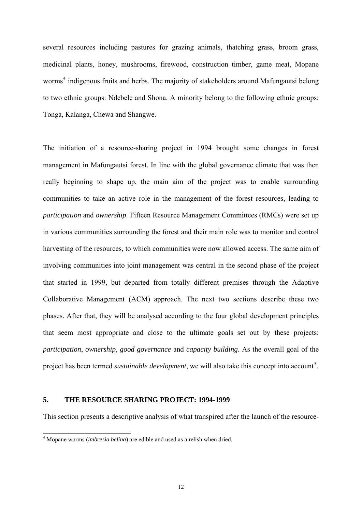several resources including pastures for grazing animals, thatching grass, broom grass, medicinal plants, honey, mushrooms, firewood, construction timber, game meat, Mopane worms<sup>[4](#page-11-0)</sup> indigenous fruits and herbs. The majority of stakeholders around Mafungautsi belong to two ethnic groups: Ndebele and Shona. A minority belong to the following ethnic groups: Tonga, Kalanga, Chewa and Shangwe.

The initiation of a resource-sharing project in 1994 brought some changes in forest management in Mafungautsi forest. In line with the global governance climate that was then really beginning to shape up, the main aim of the project was to enable surrounding communities to take an active role in the management of the forest resources, leading to *participation* and *ownership*. Fifteen Resource Management Committees (RMCs) were set up in various communities surrounding the forest and their main role was to monitor and control harvesting of the resources, to which communities were now allowed access. The same aim of involving communities into joint management was central in the second phase of the project that started in 1999, but departed from totally different premises through the Adaptive Collaborative Management (ACM) approach. The next two sections describe these two phases. After that, they will be analysed according to the four global development principles that seem most appropriate and close to the ultimate goals set out by these projects: *participation*, *ownership*, *good governance* and *capacity building*. As the overall goal of the project has been termed *sustainable development*, we will also take this concept into account<sup>[5](#page-11-1)</sup>.

### **5. THE RESOURCE SHARING PROJECT: 1994-1999**

This section presents a descriptive analysis of what transpired after the launch of the resource-

<span id="page-11-1"></span><span id="page-11-0"></span> 4 Mopane worms (*imbresia belina*) are edible and used as a relish when dried.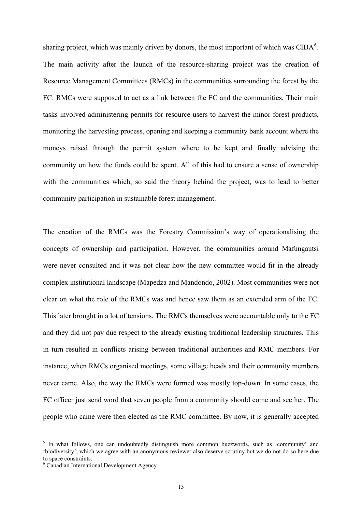sharing project, which was mainly driven by donors, the most important of which was  $\text{CIDA}^6$  $\text{CIDA}^6$ . The main activity after the launch of the resource-sharing project was the creation of Resource Management Committees (RMCs) in the communities surrounding the forest by the FC. RMCs were supposed to act as a link between the FC and the communities. Their main tasks involved administering permits for resource users to harvest the minor forest products, monitoring the harvesting process, opening and keeping a community bank account where the moneys raised through the permit system where to be kept and finally advising the community on how the funds could be spent. All of this had to ensure a sense of ownership with the communities which, so said the theory behind the project, was to lead to better community participation in sustainable forest management.

The creation of the RMCs was the Forestry Commission's way of operationalising the concepts of ownership and participation. However, the communities around Mafungautsi were never consulted and it was not clear how the new committee would fit in the already complex institutional landscape (Mapedza and Mandondo, 2002). Most communities were not clear on what the role of the RMCs was and hence saw them as an extended arm of the FC. This later brought in a lot of tensions. The RMCs themselves were accountable only to the FC and they did not pay due respect to the already existing traditional leadership structures. This in turn resulted in conflicts arising between traditional authorities and RMC members. For instance, when RMCs organised meetings, some village heads and their community members never came. Also, the way the RMCs were formed was mostly top-down. In some cases, the FC officer just send word that seven people from a community should come and see her. The people who came were then elected as the RMC committee. By now, it is generally accepted

-

<sup>&</sup>lt;sup>5</sup> In what follows, one can undoubtedly distinguish more common buzzwords, such as 'community' and 'biodiversity', which we agree with an anonymous reviewer also deserve scrutiny but we do not do so here due to space constraints.

<span id="page-12-0"></span><sup>6</sup> Canadian International Development Agency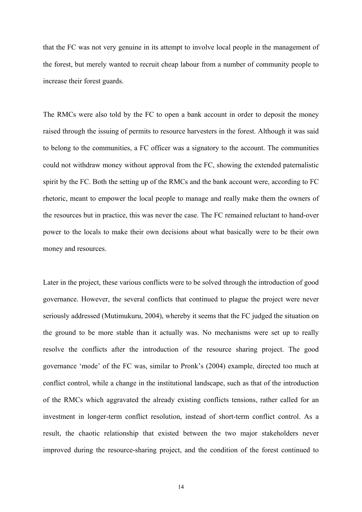that the FC was not very genuine in its attempt to involve local people in the management of the forest, but merely wanted to recruit cheap labour from a number of community people to increase their forest guards.

The RMCs were also told by the FC to open a bank account in order to deposit the money raised through the issuing of permits to resource harvesters in the forest. Although it was said to belong to the communities, a FC officer was a signatory to the account. The communities could not withdraw money without approval from the FC, showing the extended paternalistic spirit by the FC. Both the setting up of the RMCs and the bank account were, according to FC rhetoric, meant to empower the local people to manage and really make them the owners of the resources but in practice, this was never the case. The FC remained reluctant to hand-over power to the locals to make their own decisions about what basically were to be their own money and resources.

Later in the project, these various conflicts were to be solved through the introduction of good governance. However, the several conflicts that continued to plague the project were never seriously addressed (Mutimukuru, 2004), whereby it seems that the FC judged the situation on the ground to be more stable than it actually was. No mechanisms were set up to really resolve the conflicts after the introduction of the resource sharing project. The good governance 'mode' of the FC was, similar to Pronk's (2004) example, directed too much at conflict control, while a change in the institutional landscape, such as that of the introduction of the RMCs which aggravated the already existing conflicts tensions, rather called for an investment in longer-term conflict resolution, instead of short-term conflict control. As a result, the chaotic relationship that existed between the two major stakeholders never improved during the resource-sharing project, and the condition of the forest continued to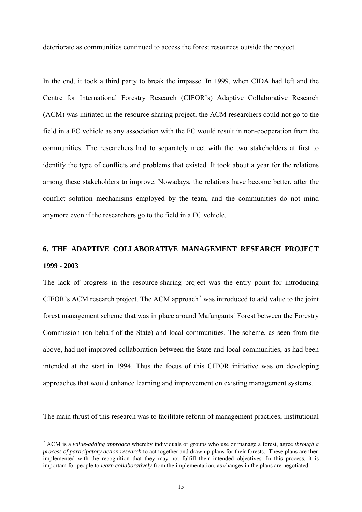deteriorate as communities continued to access the forest resources outside the project.

In the end, it took a third party to break the impasse. In 1999, when CIDA had left and the Centre for International Forestry Research (CIFOR's) Adaptive Collaborative Research (ACM) was initiated in the resource sharing project, the ACM researchers could not go to the field in a FC vehicle as any association with the FC would result in non-cooperation from the communities. The researchers had to separately meet with the two stakeholders at first to identify the type of conflicts and problems that existed. It took about a year for the relations among these stakeholders to improve. Nowadays, the relations have become better, after the conflict solution mechanisms employed by the team, and the communities do not mind anymore even if the researchers go to the field in a FC vehicle.

# **6. THE ADAPTIVE COLLABORATIVE MANAGEMENT RESEARCH PROJECT 1999 - 2003**

The lack of progress in the resource-sharing project was the entry point for introducing CIFOR's ACM research project. The ACM approach<sup>[7](#page-14-0)</sup> was introduced to add value to the joint forest management scheme that was in place around Mafungautsi Forest between the Forestry Commission (on behalf of the State) and local communities. The scheme, as seen from the above, had not improved collaboration between the State and local communities, as had been intended at the start in 1994. Thus the focus of this CIFOR initiative was on developing approaches that would enhance learning and improvement on existing management systems.

The main thrust of this research was to facilitate reform of management practices, institutional

-

<span id="page-14-0"></span><sup>7</sup> ACM is a *value-adding approach* whereby individuals or groups who use or manage a forest, agree *through a process of participatory action research* to act together and draw up plans for their forests. These plans are then implemented with the recognition that they may not fulfill their intended objectives. In this process, it is important for people to *learn collaboratively* from the implementation, as changes in the plans are negotiated.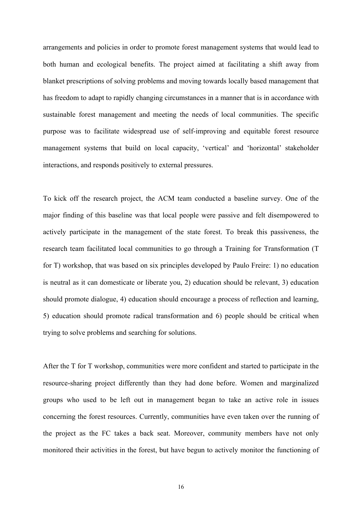arrangements and policies in order to promote forest management systems that would lead to both human and ecological benefits. The project aimed at facilitating a shift away from blanket prescriptions of solving problems and moving towards locally based management that has freedom to adapt to rapidly changing circumstances in a manner that is in accordance with sustainable forest management and meeting the needs of local communities. The specific purpose was to facilitate widespread use of self-improving and equitable forest resource management systems that build on local capacity, 'vertical' and 'horizontal' stakeholder interactions, and responds positively to external pressures.

To kick off the research project, the ACM team conducted a baseline survey. One of the major finding of this baseline was that local people were passive and felt disempowered to actively participate in the management of the state forest. To break this passiveness, the research team facilitated local communities to go through a Training for Transformation (T for T) workshop, that was based on six principles developed by Paulo Freire: 1) no education is neutral as it can domesticate or liberate you, 2) education should be relevant, 3) education should promote dialogue, 4) education should encourage a process of reflection and learning, 5) education should promote radical transformation and 6) people should be critical when trying to solve problems and searching for solutions.

After the T for T workshop, communities were more confident and started to participate in the resource-sharing project differently than they had done before. Women and marginalized groups who used to be left out in management began to take an active role in issues concerning the forest resources. Currently, communities have even taken over the running of the project as the FC takes a back seat. Moreover, community members have not only monitored their activities in the forest, but have begun to actively monitor the functioning of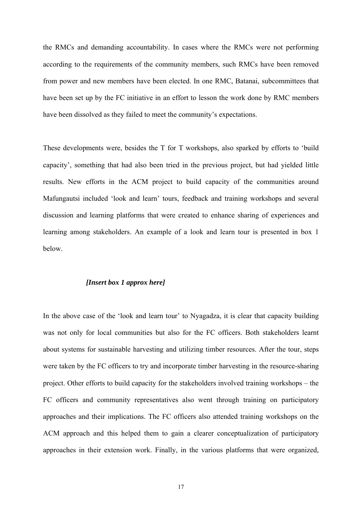the RMCs and demanding accountability. In cases where the RMCs were not performing according to the requirements of the community members, such RMCs have been removed from power and new members have been elected. In one RMC, Batanai, subcommittees that have been set up by the FC initiative in an effort to lesson the work done by RMC members have been dissolved as they failed to meet the community's expectations.

These developments were, besides the T for T workshops, also sparked by efforts to 'build capacity', something that had also been tried in the previous project, but had yielded little results. New efforts in the ACM project to build capacity of the communities around Mafungautsi included 'look and learn' tours, feedback and training workshops and several discussion and learning platforms that were created to enhance sharing of experiences and learning among stakeholders. An example of a look and learn tour is presented in box 1 below.

# *[Insert box 1 approx here]*

In the above case of the 'look and learn tour' to Nyagadza, it is clear that capacity building was not only for local communities but also for the FC officers. Both stakeholders learnt about systems for sustainable harvesting and utilizing timber resources. After the tour, steps were taken by the FC officers to try and incorporate timber harvesting in the resource-sharing project. Other efforts to build capacity for the stakeholders involved training workshops – the FC officers and community representatives also went through training on participatory approaches and their implications. The FC officers also attended training workshops on the ACM approach and this helped them to gain a clearer conceptualization of participatory approaches in their extension work. Finally, in the various platforms that were organized,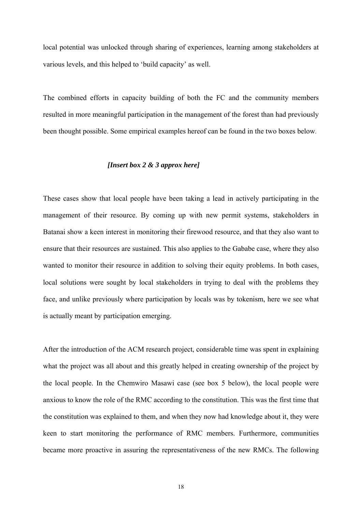local potential was unlocked through sharing of experiences, learning among stakeholders at various levels, and this helped to 'build capacity' as well.

The combined efforts in capacity building of both the FC and the community members resulted in more meaningful participation in the management of the forest than had previously been thought possible. Some empirical examples hereof can be found in the two boxes below.

#### *[Insert box 2 & 3 approx here]*

These cases show that local people have been taking a lead in actively participating in the management of their resource. By coming up with new permit systems, stakeholders in Batanai show a keen interest in monitoring their firewood resource, and that they also want to ensure that their resources are sustained. This also applies to the Gababe case, where they also wanted to monitor their resource in addition to solving their equity problems. In both cases, local solutions were sought by local stakeholders in trying to deal with the problems they face, and unlike previously where participation by locals was by tokenism, here we see what is actually meant by participation emerging.

After the introduction of the ACM research project, considerable time was spent in explaining what the project was all about and this greatly helped in creating ownership of the project by the local people. In the Chemwiro Masawi case (see box 5 below), the local people were anxious to know the role of the RMC according to the constitution. This was the first time that the constitution was explained to them, and when they now had knowledge about it, they were keen to start monitoring the performance of RMC members. Furthermore, communities became more proactive in assuring the representativeness of the new RMCs. The following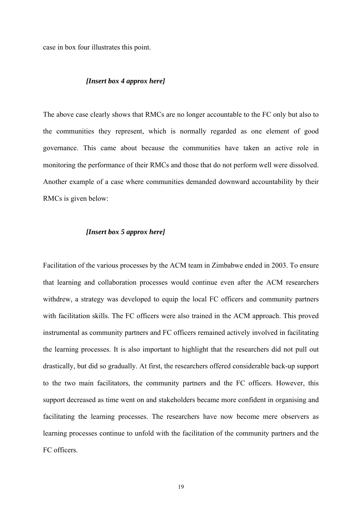case in box four illustrates this point.

### *[Insert box 4 approx here]*

The above case clearly shows that RMCs are no longer accountable to the FC only but also to the communities they represent, which is normally regarded as one element of good governance. This came about because the communities have taken an active role in monitoring the performance of their RMCs and those that do not perform well were dissolved. Another example of a case where communities demanded downward accountability by their RMCs is given below:

### *[Insert box 5 approx here]*

Facilitation of the various processes by the ACM team in Zimbabwe ended in 2003. To ensure that learning and collaboration processes would continue even after the ACM researchers withdrew, a strategy was developed to equip the local FC officers and community partners with facilitation skills. The FC officers were also trained in the ACM approach. This proved instrumental as community partners and FC officers remained actively involved in facilitating the learning processes. It is also important to highlight that the researchers did not pull out drastically, but did so gradually. At first, the researchers offered considerable back-up support to the two main facilitators, the community partners and the FC officers. However, this support decreased as time went on and stakeholders became more confident in organising and facilitating the learning processes. The researchers have now become mere observers as learning processes continue to unfold with the facilitation of the community partners and the FC officers.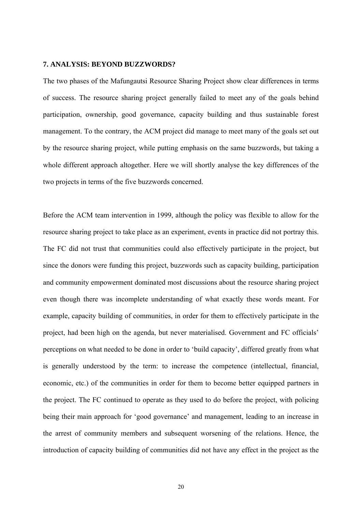# **7. ANALYSIS: BEYOND BUZZWORDS?**

The two phases of the Mafungautsi Resource Sharing Project show clear differences in terms of success. The resource sharing project generally failed to meet any of the goals behind participation, ownership, good governance, capacity building and thus sustainable forest management. To the contrary, the ACM project did manage to meet many of the goals set out by the resource sharing project, while putting emphasis on the same buzzwords, but taking a whole different approach altogether. Here we will shortly analyse the key differences of the two projects in terms of the five buzzwords concerned.

Before the ACM team intervention in 1999, although the policy was flexible to allow for the resource sharing project to take place as an experiment, events in practice did not portray this. The FC did not trust that communities could also effectively participate in the project, but since the donors were funding this project, buzzwords such as capacity building, participation and community empowerment dominated most discussions about the resource sharing project even though there was incomplete understanding of what exactly these words meant. For example, capacity building of communities, in order for them to effectively participate in the project, had been high on the agenda, but never materialised. Government and FC officials' perceptions on what needed to be done in order to 'build capacity', differed greatly from what is generally understood by the term: to increase the competence (intellectual, financial, economic, etc.) of the communities in order for them to become better equipped partners in the project. The FC continued to operate as they used to do before the project, with policing being their main approach for 'good governance' and management, leading to an increase in the arrest of community members and subsequent worsening of the relations. Hence, the introduction of capacity building of communities did not have any effect in the project as the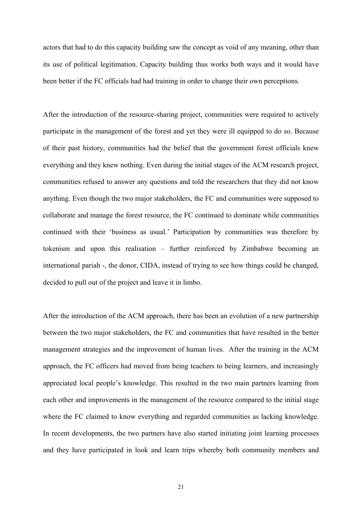actors that had to do this capacity building saw the concept as void of any meaning, other than its use of political legitimation. Capacity building thus works both ways and it would have been better if the FC officials had had training in order to change their own perceptions.

After the introduction of the resource-sharing project, communities were required to actively participate in the management of the forest and yet they were ill equipped to do so. Because of their past history, communities had the belief that the government forest officials knew everything and they knew nothing. Even during the initial stages of the ACM research project, communities refused to answer any questions and told the researchers that they did not know anything. Even though the two major stakeholders, the FC and communities were supposed to collaborate and manage the forest resource, the FC continued to dominate while communities continued with their 'business as usual.' Participation by communities was therefore by tokenism and upon this realisation – further reinforced by Zimbabwe becoming an international pariah -, the donor, CIDA, instead of trying to see how things could be changed, decided to pull out of the project and leave it in limbo.

After the introduction of the ACM approach, there has been an evolution of a new partnership between the two major stakeholders, the FC and communities that have resulted in the better management strategies and the improvement of human lives. After the training in the ACM approach, the FC officers had moved from being teachers to being learners, and increasingly appreciated local people's knowledge. This resulted in the two main partners learning from each other and improvements in the management of the resource compared to the initial stage where the FC claimed to know everything and regarded communities as lacking knowledge. In recent developments, the two partners have also started initiating joint learning processes and they have participated in look and learn trips whereby both community members and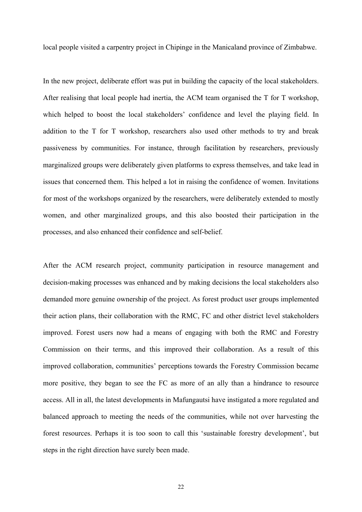local people visited a carpentry project in Chipinge in the Manicaland province of Zimbabwe.

In the new project, deliberate effort was put in building the capacity of the local stakeholders. After realising that local people had inertia, the ACM team organised the T for T workshop, which helped to boost the local stakeholders' confidence and level the playing field. In addition to the T for T workshop, researchers also used other methods to try and break passiveness by communities. For instance, through facilitation by researchers, previously marginalized groups were deliberately given platforms to express themselves, and take lead in issues that concerned them. This helped a lot in raising the confidence of women. Invitations for most of the workshops organized by the researchers, were deliberately extended to mostly women, and other marginalized groups, and this also boosted their participation in the processes, and also enhanced their confidence and self-belief.

After the ACM research project, community participation in resource management and decision-making processes was enhanced and by making decisions the local stakeholders also demanded more genuine ownership of the project. As forest product user groups implemented their action plans, their collaboration with the RMC, FC and other district level stakeholders improved. Forest users now had a means of engaging with both the RMC and Forestry Commission on their terms, and this improved their collaboration. As a result of this improved collaboration, communities' perceptions towards the Forestry Commission became more positive, they began to see the FC as more of an ally than a hindrance to resource access. All in all, the latest developments in Mafungautsi have instigated a more regulated and balanced approach to meeting the needs of the communities, while not over harvesting the forest resources. Perhaps it is too soon to call this 'sustainable forestry development', but steps in the right direction have surely been made.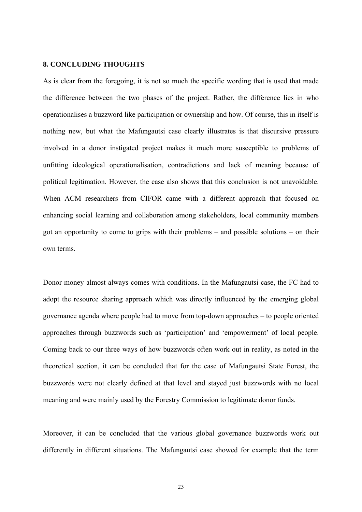# **8. CONCLUDING THOUGHTS**

As is clear from the foregoing, it is not so much the specific wording that is used that made the difference between the two phases of the project. Rather, the difference lies in who operationalises a buzzword like participation or ownership and how. Of course, this in itself is nothing new, but what the Mafungautsi case clearly illustrates is that discursive pressure involved in a donor instigated project makes it much more susceptible to problems of unfitting ideological operationalisation, contradictions and lack of meaning because of political legitimation. However, the case also shows that this conclusion is not unavoidable. When ACM researchers from CIFOR came with a different approach that focused on enhancing social learning and collaboration among stakeholders, local community members got an opportunity to come to grips with their problems – and possible solutions – on their own terms.

Donor money almost always comes with conditions. In the Mafungautsi case, the FC had to adopt the resource sharing approach which was directly influenced by the emerging global governance agenda where people had to move from top-down approaches – to people oriented approaches through buzzwords such as 'participation' and 'empowerment' of local people. Coming back to our three ways of how buzzwords often work out in reality, as noted in the theoretical section, it can be concluded that for the case of Mafungautsi State Forest, the buzzwords were not clearly defined at that level and stayed just buzzwords with no local meaning and were mainly used by the Forestry Commission to legitimate donor funds.

Moreover, it can be concluded that the various global governance buzzwords work out differently in different situations. The Mafungautsi case showed for example that the term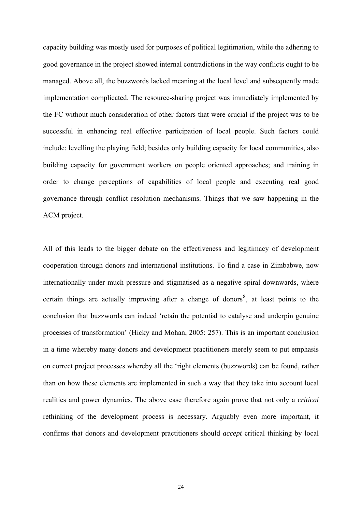capacity building was mostly used for purposes of political legitimation, while the adhering to good governance in the project showed internal contradictions in the way conflicts ought to be managed. Above all, the buzzwords lacked meaning at the local level and subsequently made implementation complicated. The resource-sharing project was immediately implemented by the FC without much consideration of other factors that were crucial if the project was to be successful in enhancing real effective participation of local people. Such factors could include: levelling the playing field; besides only building capacity for local communities, also building capacity for government workers on people oriented approaches; and training in order to change perceptions of capabilities of local people and executing real good governance through conflict resolution mechanisms. Things that we saw happening in the ACM project.

<span id="page-23-0"></span>All of this leads to the bigger debate on the effectiveness and legitimacy of development cooperation through donors and international institutions. To find a case in Zimbabwe, now internationally under much pressure and stigmatised as a negative spiral downwards, where certain things are actually improving after a change of donors<sup>[8](#page-23-0)</sup>, at least points to the conclusion that buzzwords can indeed 'retain the potential to catalyse and underpin genuine processes of transformation' (Hicky and Mohan, 2005: 257). This is an important conclusion in a time whereby many donors and development practitioners merely seem to put emphasis on correct project processes whereby all the 'right elements (buzzwords) can be found, rather than on how these elements are implemented in such a way that they take into account local realities and power dynamics. The above case therefore again prove that not only a *critical* rethinking of the development process is necessary. Arguably even more important, it confirms that donors and development practitioners should *accept* critical thinking by local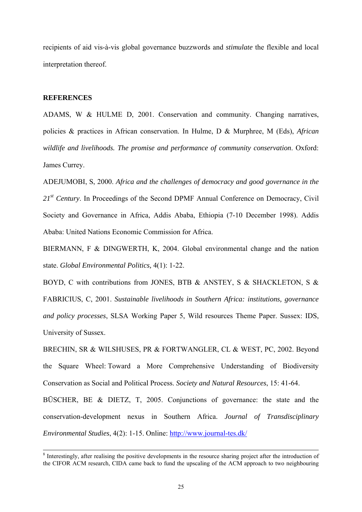recipients of aid vis-à-vis global governance buzzwords and *stimulate* the flexible and local interpretation thereof.

# **REFERENCES**

ADAMS, W & HULME D, 2001. Conservation and community. Changing narratives, policies & practices in African conservation. In Hulme, D & Murphree, M (Eds), *African wildlife and livelihoods. The promise and performance of community conservation*. Oxford: James Currey.

ADEJUMOBI, S, 2000. *Africa and the challenges of democracy and good governance in the*  21<sup>st</sup> Century. In Proceedings of the Second DPMF Annual Conference on Democracy, Civil Society and Governance in Africa, Addis Ababa, Ethiopia (7-10 December 1998). Addis Ababa: United Nations Economic Commission for Africa.

BIERMANN, F & DINGWERTH, K, 2004. Global environmental change and the nation state. *Global Environmental Politics,* 4(1): 1-22.

BOYD, C with contributions from JONES, BTB & ANSTEY, S & SHACKLETON, S & FABRICIUS, C, 2001. *Sustainable livelihoods in Southern Africa: institutions, governance and policy processes*, SLSA Working Paper 5, Wild resources Theme Paper. Sussex: IDS, University of Sussex.

BRECHIN, SR & WILSHUSES, PR & FORTWANGLER, CL & WEST, PC, 2002. Beyond the Square Wheel: Toward a More Comprehensive Understanding of Biodiversity Conservation as Social and Political Process. *Society and Natural Resources*, 15: 41-64. BŪSCHER, BE & DIETZ, T, 2005. Conjunctions of governance: the state and the conservation-development nexus in Southern Africa. *Journal of Transdisciplinary Environmental Studies*, 4(2): 1-15. Online:<http://www.journal-tes.dk/>

<sup>&</sup>lt;sup>8</sup> Interestingly, after realising the positive developments in the resource sharing project after the introduction of the CIFOR ACM research, CIDA came back to fund the upscaling of the ACM approach to two neighbouring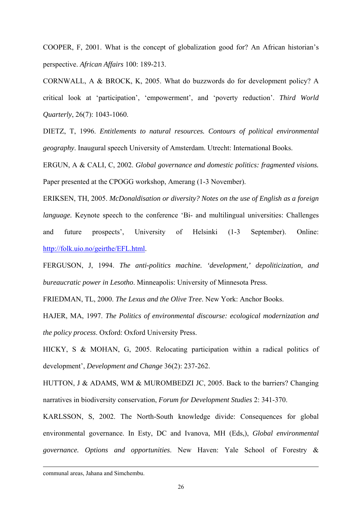COOPER, F, 2001. What is the concept of globalization good for? An African historian's perspective. *African Affairs* 100: 189-213.

CORNWALL, A & BROCK, K, 2005. What do buzzwords do for development policy? A critical look at 'participation', 'empowerment', and 'poverty reduction'. *Third World Quarterly*, 26(7): 1043-1060.

DIETZ, T, 1996. *Entitlements to natural resources. Contours of political environmental geography*. Inaugural speech University of Amsterdam. Utrecht: International Books.

ERGUN, A & CALI, C, 2002. *Global governance and domestic politics: fragmented visions.*  Paper presented at the CPOGG workshop, Amerang (1-3 November).

ERIKSEN, TH, 2005. *McDonaldisation or diversity? Notes on the use of English as a foreign language.* Keynote speech to the conference 'Bi- and multilingual universities: Challenges and future prospects', University of Helsinki (1-3 September). Online: <http://folk.uio.no/geirthe/EFL.html>.

FERGUSON, J, 1994. *The anti-politics machine. 'development,' depoliticization, and bureaucratic power in Lesotho*. Minneapolis: University of Minnesota Press.

FRIEDMAN, TL, 2000. *The Lexus and the Olive Tree*. New York: Anchor Books.

HAJER, MA, 1997. *The Politics of environmental discourse: ecological modernization and the policy process*. Oxford: Oxford University Press.

HICKY, S & MOHAN, G, 2005. Relocating participation within a radical politics of development', *Development and Change* 36(2): 237-262.

HUTTON, J & ADAMS, WM & MUROMBEDZI JC, 2005. Back to the barriers? Changing narratives in biodiversity conservation, *Forum for Development Studies* 2: 341-370.

KARLSSON, S, 2002. The North-South knowledge divide: Consequences for global environmental governance. In Esty, DC and Ivanova, MH (Eds,), *Global environmental governance. Options and opportunities*. New Haven: Yale School of Forestry &

communal areas, Jahana and Simchembu.

-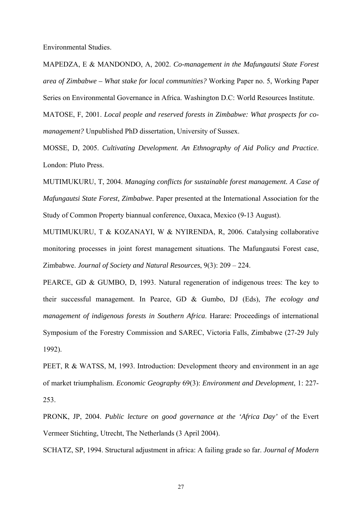Environmental Studies.

MAPEDZA, E & MANDONDO, A, 2002. *Co-management in the Mafungautsi State Forest area of Zimbabwe – What stake for local communities?* Working Paper no. 5, Working Paper Series on Environmental Governance in Africa. Washington D.C: World Resources Institute.

MATOSE, F, 2001. *Local people and reserved forests in Zimbabwe: What prospects for comanagement?* Unpublished PhD dissertation, University of Sussex.

MOSSE, D, 2005. *Cultivating Development. An Ethnography of Aid Policy and Practice*. London: Pluto Press.

MUTIMUKURU, T, 2004. *Managing conflicts for sustainable forest management. A Case of Mafungautsi State Forest, Zimbabwe*. Paper presented at the International Association for the Study of Common Property biannual conference, Oaxaca, Mexico (9-13 August).

MUTIMUKURU, T & KOZANAYI, W & NYIRENDA, R, 2006. Catalysing collaborative monitoring processes in joint forest management situations. The Mafungautsi Forest case, Zimbabwe. *Journal of Society and Natural Resources*, 9(3): 209 – 224.

PEARCE, GD & GUMBO, D, 1993. Natural regeneration of indigenous trees: The key to their successful management. In Pearce, GD & Gumbo, DJ (Eds), *The ecology and management of indigenous forests in Southern Africa*. Harare: Proceedings of international Symposium of the Forestry Commission and SAREC, Victoria Falls, Zimbabwe (27-29 July 1992).

PEET, R & WATSS, M, 1993. Introduction: Development theory and environment in an age of market triumphalism. *Economic Geography* 69(3): *Environment and Development*, 1: 227- 253.

PRONK, JP, 2004. *Public lecture on good governance at the 'Africa Day'* of the Evert Vermeer Stichting, Utrecht, The Netherlands (3 April 2004).

SCHATZ, SP, 1994. Structural adjustment in africa: A failing grade so far. *Journal of Modern*